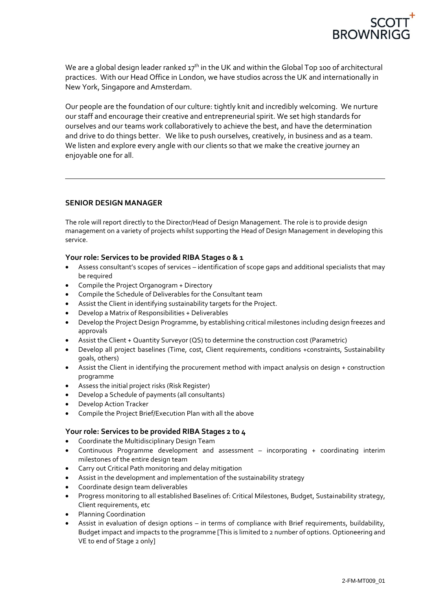

We are a global design leader ranked  $17<sup>th</sup>$  in the UK and within the Global Top 100 of architectural practices. With our Head Office in London, we have studios across the UK and internationally in New York, Singapore and Amsterdam.

Our people are the foundation of our culture: tightly knit and incredibly welcoming. We nurture our staff and encourage their creative and entrepreneurial spirit. We set high standards for ourselves and our teams work collaboratively to achieve the best, and have the determination and drive to do things better. We like to push ourselves, creatively, in business and as a team. We listen and explore every angle with our clients so that we make the creative journey an enjoyable one for all.

## **SENIOR DESIGN MANAGER**

The role will report directly to the Director/Head of Design Management. The role is to provide design management on a variety of projects whilst supporting the Head of Design Management in developing this service.

## **Your role: Services to be provided RIBA Stages 0 & 1**

- Assess consultant's scopes of services identification of scope gaps and additional specialists that may be required
- Compile the Project Organogram + Directory
- Compile the Schedule of Deliverables for the Consultant team
- Assist the Client in identifying sustainability targets for the Project.
- Develop a Matrix of Responsibilities + Deliverables
- Develop the Project Design Programme, by establishing critical milestones including design freezes and approvals
- Assist the Client + Quantity Surveyor (QS) to determine the construction cost (Parametric)
- Develop all project baselines (Time, cost, Client requirements, conditions +constraints, Sustainability goals, others)
- Assist the Client in identifying the procurement method with impact analysis on design + construction programme
- Assess the initial project risks (Risk Register)
- Develop a Schedule of payments (all consultants)
- Develop Action Tracker
- Compile the Project Brief/Execution Plan with all the above

# **Your role: Services to be provided RIBA Stages 2 to 4**

- Coordinate the Multidisciplinary Design Team
- Continuous Programme development and assessment incorporating + coordinating interim milestones of the entire design team
- Carry out Critical Path monitoring and delay mitigation
- Assist in the development and implementation of the sustainability strategy
- Coordinate design team deliverables
- Progress monitoring to all established Baselines of: Critical Milestones, Budget, Sustainability strategy, Client requirements, etc
- Planning Coordination
- Assist in evaluation of design options in terms of compliance with Brief requirements, buildability, Budget impact and impacts to the programme [This is limited to 2 number of options. Optioneering and VE to end of Stage 2 only]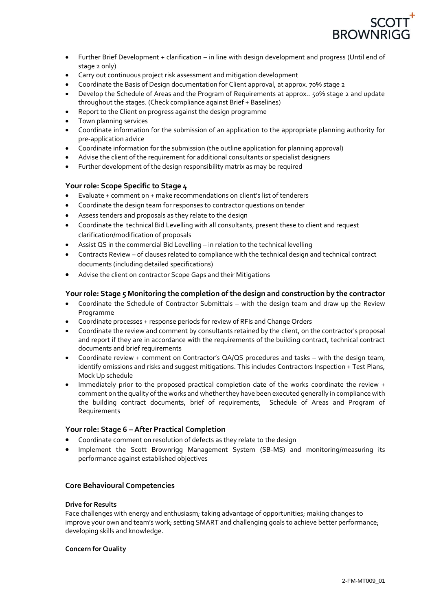

- Further Brief Development + clarification in line with design development and progress (Until end of stage 2 only)
- Carry out continuous project risk assessment and mitigation development
- Coordinate the Basis of Design documentation for Client approval, at approx. 70% stage 2
- Develop the Schedule of Areas and the Program of Requirements at approx.. 50% stage 2 and update throughout the stages. (Check compliance against Brief + Baselines)
- Report to the Client on progress against the design programme
- Town planning services
- Coordinate information for the submission of an application to the appropriate planning authority for pre-application advice
- Coordinate information for the submission (the outline application for planning approval)
- Advise the client of the requirement for additional consultants or specialist designers
- Further development of the design responsibility matrix as may be required

# **Your role: Scope Specific to Stage 4**

- Evaluate + comment on + make recommendations on client's list of tenderers
- Coordinate the design team for responses to contractor questions on tender
- Assess tenders and proposals as they relate to the design
- Coordinate the technical Bid Levelling with all consultants, present these to client and request clarification/modification of proposals
- Assist QS in the commercial Bid Levelling in relation to the technical levelling
- Contracts Review of clauses related to compliance with the technical design and technical contract documents (including detailed specifications)
- Advise the client on contractor Scope Gaps and their Mitigations

## **Your role: Stage 5 Monitoring the completion of the design and construction by the contractor**

- Coordinate the Schedule of Contractor Submittals with the design team and draw up the Review Programme
- Coordinate processes + response periods for review of RFIs and Change Orders
- Coordinate the review and comment by consultants retained by the client, on the contractor's proposal and report if they are in accordance with the requirements of the building contract, technical contract documents and brief requirements
- Coordinate review + comment on Contractor's QA/QS procedures and tasks with the design team, identify omissions and risks and suggest mitigations. This includes Contractors Inspection + Test Plans, Mock Up schedule
- Immediately prior to the proposed practical completion date of the works coordinate the review + comment on the quality of the works and whether they have been executed generally in compliance with the building contract documents, brief of requirements, Schedule of Areas and Program of Requirements

## **Your role: Stage 6 – After Practical Completion**

- Coordinate comment on resolution of defects as they relate to the design
- Implement the Scott Brownrigg Management System (SB-MS) and monitoring/measuring its performance against established objectives

## **Core Behavioural Competencies**

### **Drive for Results**

Face challenges with energy and enthusiasm; taking advantage of opportunities; making changes to improve your own and team's work; setting SMART and challenging goals to achieve better performance; developing skills and knowledge.

### **Concern for Quality**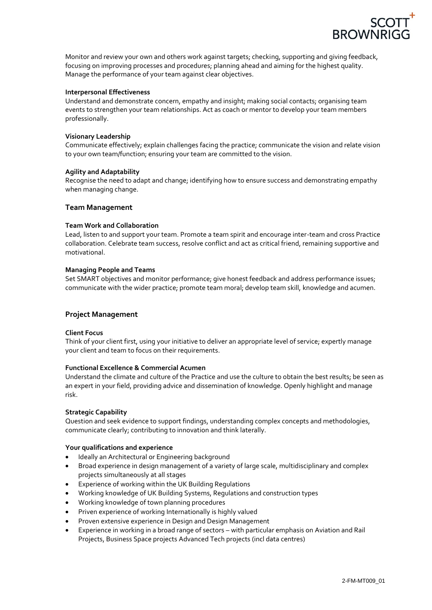

Monitor and review your own and others work against targets; checking, supporting and giving feedback, focusing on improving processes and procedures; planning ahead and aiming for the highest quality. Manage the performance of your team against clear objectives.

### **Interpersonal Effectiveness**

Understand and demonstrate concern, empathy and insight; making social contacts; organising team events to strengthen your team relationships. Act as coach or mentor to develop your team members professionally.

#### **Visionary Leadership**

Communicate effectively; explain challenges facing the practice; communicate the vision and relate vision to your own team/function; ensuring your team are committed to the vision.

#### **Agility and Adaptability**

Recognise the need to adapt and change; identifying how to ensure success and demonstrating empathy when managing change.

#### **Team Management**

#### **Team Work and Collaboration**

Lead, listen to and support your team. Promote a team spirit and encourage inter-team and cross Practice collaboration. Celebrate team success, resolve conflict and act as critical friend, remaining supportive and motivational.

#### **Managing People and Teams**

Set SMART objectives and monitor performance; give honest feedback and address performance issues; communicate with the wider practice; promote team moral; develop team skill, knowledge and acumen.

### **Project Management**

#### **Client Focus**

Think of your client first, using your initiative to deliver an appropriate level of service; expertly manage your client and team to focus on their requirements.

#### **Functional Excellence & Commercial Acumen**

Understand the climate and culture of the Practice and use the culture to obtain the best results; be seen as an expert in your field, providing advice and dissemination of knowledge. Openly highlight and manage risk.

#### **Strategic Capability**

Question and seek evidence to support findings, understanding complex concepts and methodologies, communicate clearly; contributing to innovation and think laterally.

### **Your qualifications and experience**

- Ideally an Architectural or Engineering background
- Broad experience in design management of a variety of large scale, multidisciplinary and complex projects simultaneously at all stages
- Experience of working within the UK Building Regulations
- Working knowledge of UK Building Systems, Regulations and construction types
- Working knowledge of town planning procedures
- Priven experience of working Internationally is highly valued
- Proven extensive experience in Design and Design Management
- Experience in working in a broad range of sectors with particular emphasis on Aviation and Rail Projects, Business Space projects Advanced Tech projects (incl data centres)